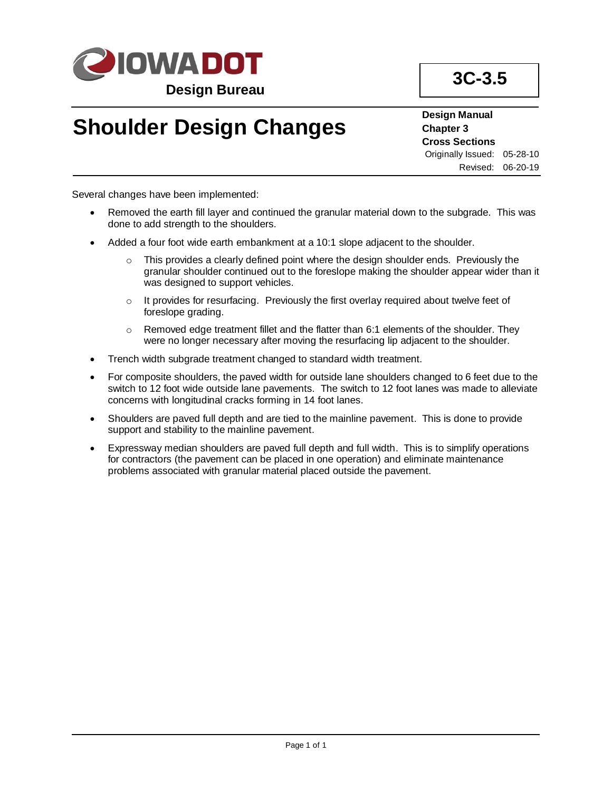

## **Shoulder Design Changes**

## **Design Manual Chapter 3 Cross Sections** Originally Issued: 05-28-10 Revised: 06-20-19

Several changes have been implemented:

- Removed the earth fill layer and continued the granular material down to the subgrade. This was done to add strength to the shoulders.
- Added a four foot wide earth embankment at a 10:1 slope adjacent to the shoulder.
	- $\circ$  This provides a clearly defined point where the design shoulder ends. Previously the granular shoulder continued out to the foreslope making the shoulder appear wider than it was designed to support vehicles.
	- $\circ$  It provides for resurfacing. Previously the first overlay required about twelve feet of foreslope grading.
	- $\circ$  Removed edge treatment fillet and the flatter than 6:1 elements of the shoulder. They were no longer necessary after moving the resurfacing lip adjacent to the shoulder.
- Trench width subgrade treatment changed to standard width treatment.
- For composite shoulders, the paved width for outside lane shoulders changed to 6 feet due to the switch to 12 foot wide outside lane pavements. The switch to 12 foot lanes was made to alleviate concerns with longitudinal cracks forming in 14 foot lanes.
- Shoulders are paved full depth and are tied to the mainline pavement. This is done to provide support and stability to the mainline pavement.
- Expressway median shoulders are paved full depth and full width. This is to simplify operations for contractors (the pavement can be placed in one operation) and eliminate maintenance problems associated with granular material placed outside the pavement.